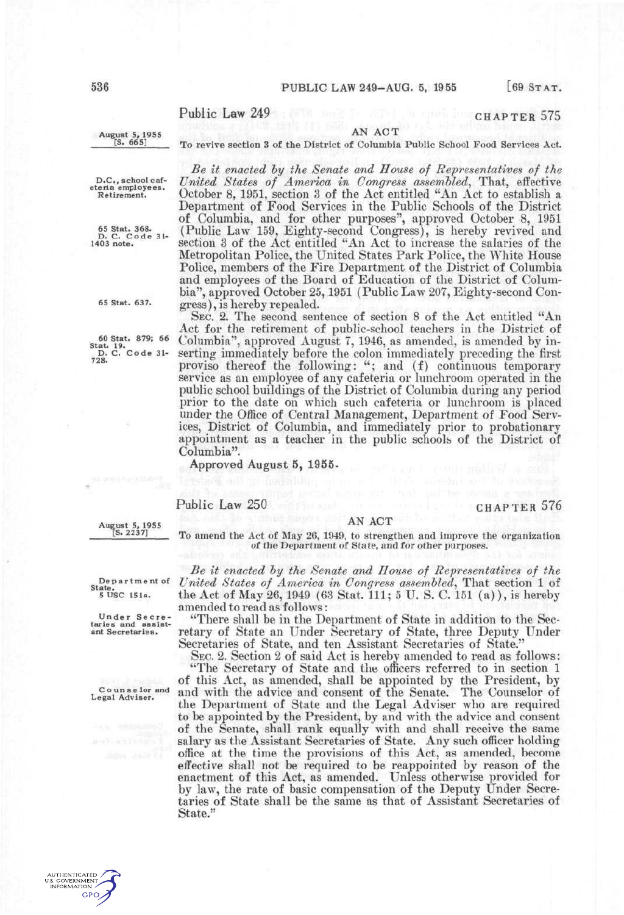# Public Law 249 CHAPTER 575

### August 5, 1955<br>
[S. 665] To regine section 3 of the District of Columbia *^^' ^^^^* To revive section 3 of the District of Columbia Public School Food Services Act,

*Be it enacted hy the Senate and House of Representatives of the* 

D.C., school caf-eteria employees. Retirement.

65 Stat. 368. D. C. Cod e 31- 1403 note.

65 Stat. 637.

60 Stat. 879; 66 Stat. 19. D. C. Code 31- 728.

United States of America in Congress assembled, That, effective October 8, 1951, section 3 of the Act entitled "An Act to establish a Department of Food Services in the Public Schools of the District of Columbia, and for other purposes", approved October 8, 1951 (Public Law 159, Eighty-second Congress), is hereby revived and section 3 of the Act entitled "An Act to increase the salaries of the Metropolitan Police, the United States Park Police, the White House Police, members of the Fire Department of the District of Columbia and employees of the Board of Education of the District of Columbia", approved October 25,1951 (Public Law 207, Eighty-second Congress), is hereby repealed.

SEC. 2. The second sentence of section 8 of the Act entitled "An Act for the retirement of public-school teachers in the District of Columbia", approved August 7, 1946, as amended, is amended by inserting immediately before the colon immediately preceding the first proviso thereof the following: "; and (f) continuous temporary service as an employee of any cafeteria or lunchroom operated in the public school buildings of the District of Columbia during any period prior to the date on which such cafeteria or lunchroom is placed under the Office of Central Management, Department of Food Services, District of Columbia, and immediately prior to probationary appointment as a teacher in the public schools of the District of Columbia".

Approved August 5, 1956.

## Public Law 250 CHAPTER 576

August 5, 1955 [S. 2237]

AN ACT To amend the Act of May 26, 1949, to strengthen and improve the organization of the Department of State, and for other purposes.

*Be it enacted hy the Senate and House of Representatives of the United States of America in Congress assembled^* That section 1 of the Act of May 26, 1949 (63 Stat. Ill; 5 U. S. C. 151 (a)), is hereby amended to read as follows:

"There shall be in the Department of State in addition to the Secretary of State an Under Secretary of State, three Deputy Under Secretaries of State, and ten Assistant Secretaries of State."

SEC. 2. Section 2 of said Act is hereby amended to read as follows: "The Secretary of State and the officers referred to in section 1

of this Act, as amended, shall be appointed by the President, by and with the advice and consent of the Senate. The Counselor of the Department of State and the Legal Adviser who are required to be appointed by the President, by and with the advice and consent of the Senate, shall rank equally with and shall receive the same salary as the Assistant Secretaries of State. Any such officer holding office at the time the provisions of this Act, as amended, become effective shall not be required to be reappointed by reason of the enactment of this Act, as amended. Unless otherwise provided for by law, the rate of basic compensation of the Deputy Under Secretaries of State shall be the same as that of Assistant Secretaries of State."

De p a r t m e nt of State.<br>5 USC 151a.

Under Secre-<br>taries and assist-<br>ant Secretaries.

Counselor and Legal Adviser.